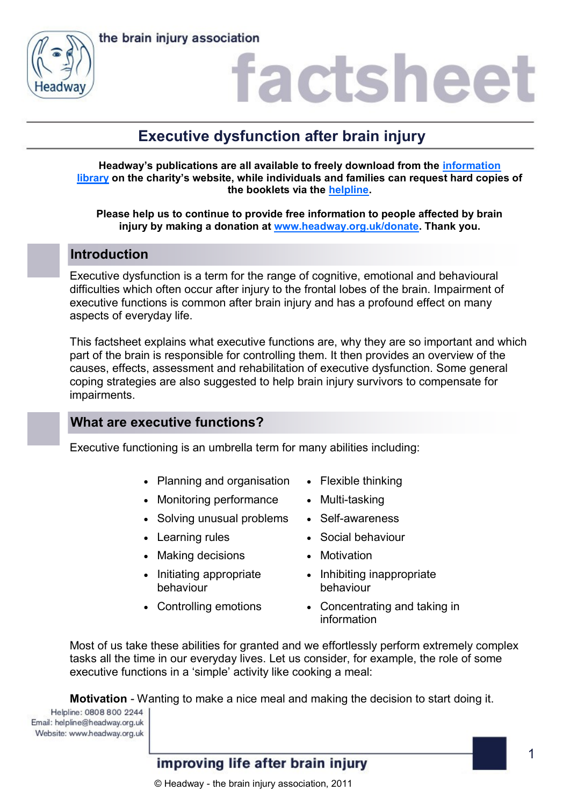



### factshee<sup>®</sup>

### **Executive dysfunction after brain injury**

**Headway's publications are all available to freely download from the [information](https://www.headway.org.uk/about-brain-injury/individuals/information-library/)  [library](https://www.headway.org.uk/about-brain-injury/individuals/information-library/) on the charity's website, while individuals and families can request hard copies of the booklets via the [helpline.](https://www.headway.org.uk/supporting-you/helpline/)**

**Please help us to continue to provide free information to people affected by brain injury by making a donation at [www.headway.org.uk/donate.](http://www.headway.org.uk/donate) Thank you.**

### **Introduction**

Executive dysfunction is a term for the range of cognitive, emotional and behavioural difficulties which often occur after injury to the frontal lobes of the brain. Impairment of executive functions is common after brain injury and has a profound effect on many aspects of everyday life.

This factsheet explains what executive functions are, why they are so important and which part of the brain is responsible for controlling them. It then provides an overview of the causes, effects, assessment and rehabilitation of executive dysfunction. Some general coping strategies are also suggested to help brain injury survivors to compensate for impairments.

### **What are executive functions?**

Executive functioning is an umbrella term for many abilities including:

- Planning and organisation Flexible thinking
- Monitoring performance Multi-tasking
- Solving unusual problems Self-awareness
- 
- Making decisions Motivation
- Initiating appropriate behaviour
- 
- 
- 
- 
- Learning rules Social behaviour
	-
	- Inhibiting inappropriate behaviour
- Controlling emotions Concentrating and taking in information

Most of us take these abilities for granted and we effortlessly perform extremely complex tasks all the time in our everyday lives. Let us consider, for example, the role of some executive functions in a 'simple' activity like cooking a meal:

**Motivation** - Wanting to make a nice meal and making the decision to start doing it.

Helpline: 0808 800 2244 Email: helpline@headway.org.uk Website: www.headway.org.uk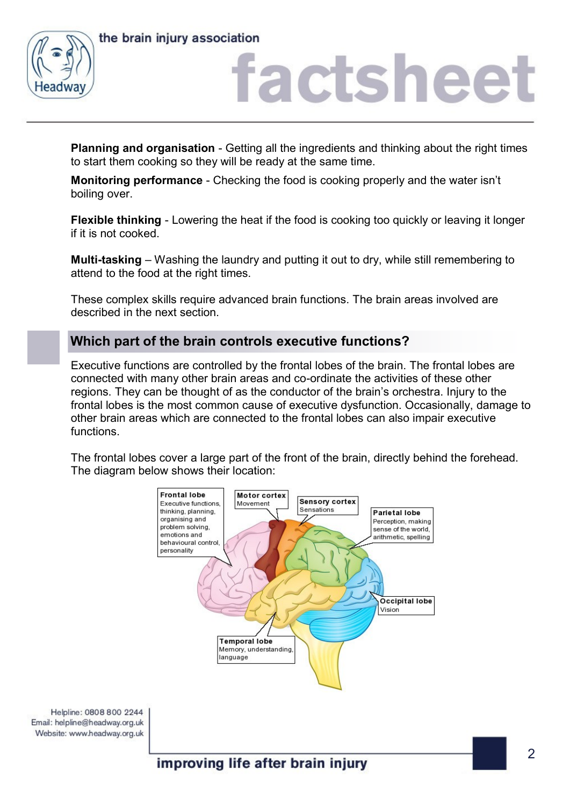

### factsheet

**Planning and organisation** - Getting all the ingredients and thinking about the right times to start them cooking so they will be ready at the same time.

**Monitoring performance** - Checking the food is cooking properly and the water isn't boiling over.

**Flexible thinking** - Lowering the heat if the food is cooking too quickly or leaving it longer if it is not cooked.

**Multi-tasking** – Washing the laundry and putting it out to dry, while still remembering to attend to the food at the right times.

These complex skills require advanced brain functions. The brain areas involved are described in the next section.

### **Which part of the brain controls executive functions?**

Executive functions are controlled by the frontal lobes of the brain. The frontal lobes are connected with many other brain areas and co-ordinate the activities of these other regions. They can be thought of as the conductor of the brain's orchestra. Injury to the frontal lobes is the most common cause of executive dysfunction. Occasionally, damage to other brain areas which are connected to the frontal lobes can also impair executive functions.

The frontal lobes cover a large part of the front of the brain, directly behind the forehead. The diagram below shows their location:

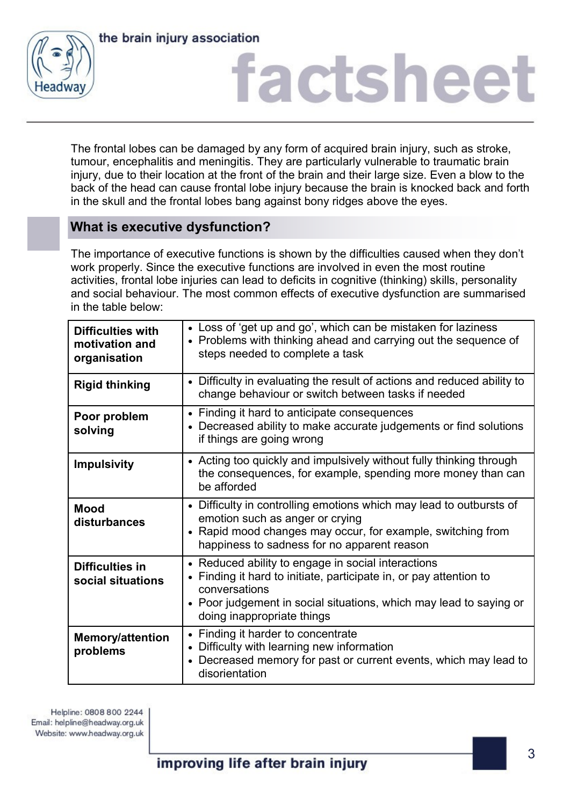

## factsheet

The frontal lobes can be damaged by any form of acquired brain injury, such as stroke, tumour, encephalitis and meningitis. They are particularly vulnerable to traumatic brain injury, due to their location at the front of the brain and their large size. Even a blow to the back of the head can cause frontal lobe injury because the brain is knocked back and forth in the skull and the frontal lobes bang against bony ridges above the eyes.

### **What is executive dysfunction?**

The importance of executive functions is shown by the difficulties caused when they don't work properly. Since the executive functions are involved in even the most routine activities, frontal lobe injuries can lead to deficits in cognitive (thinking) skills, personality and social behaviour. The most common effects of executive dysfunction are summarised in the table below:

| <b>Difficulties with</b><br>motivation and<br>organisation | • Loss of 'get up and go', which can be mistaken for laziness<br>• Problems with thinking ahead and carrying out the sequence of<br>steps needed to complete a task                                                                                    |
|------------------------------------------------------------|--------------------------------------------------------------------------------------------------------------------------------------------------------------------------------------------------------------------------------------------------------|
| <b>Rigid thinking</b>                                      | • Difficulty in evaluating the result of actions and reduced ability to<br>change behaviour or switch between tasks if needed                                                                                                                          |
| Poor problem<br>solving                                    | • Finding it hard to anticipate consequences<br>Decreased ability to make accurate judgements or find solutions<br>if things are going wrong                                                                                                           |
| <b>Impulsivity</b>                                         | • Acting too quickly and impulsively without fully thinking through<br>the consequences, for example, spending more money than can<br>be afforded                                                                                                      |
| <b>Mood</b><br>disturbances                                | • Difficulty in controlling emotions which may lead to outbursts of<br>emotion such as anger or crying<br>• Rapid mood changes may occur, for example, switching from<br>happiness to sadness for no apparent reason                                   |
| Difficulties in<br>social situations                       | Reduced ability to engage in social interactions<br>$\bullet$<br>Finding it hard to initiate, participate in, or pay attention to<br>conversations<br>• Poor judgement in social situations, which may lead to saying or<br>doing inappropriate things |
| <b>Memory/attention</b><br>problems                        | Finding it harder to concentrate<br>Difficulty with learning new information<br>$\bullet$<br>Decreased memory for past or current events, which may lead to<br>$\bullet$<br>disorientation                                                             |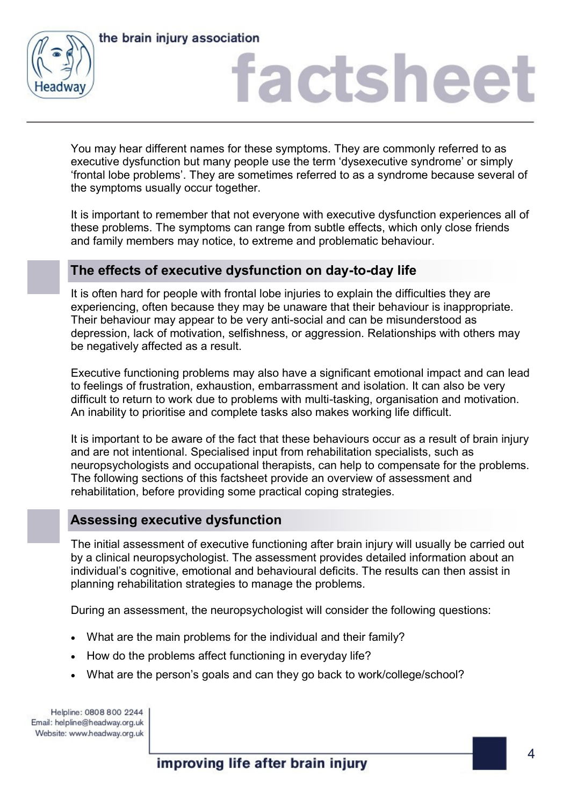



### factsheet

You may hear different names for these symptoms. They are commonly referred to as executive dysfunction but many people use the term 'dysexecutive syndrome' or simply 'frontal lobe problems'. They are sometimes referred to as a syndrome because several of the symptoms usually occur together.

It is important to remember that not everyone with executive dysfunction experiences all of these problems. The symptoms can range from subtle effects, which only close friends and family members may notice, to extreme and problematic behaviour.

### **The effects of executive dysfunction on day-to-day life**

It is often hard for people with frontal lobe injuries to explain the difficulties they are experiencing, often because they may be unaware that their behaviour is inappropriate. Their behaviour may appear to be very anti-social and can be misunderstood as depression, lack of motivation, selfishness, or aggression. Relationships with others may be negatively affected as a result.

Executive functioning problems may also have a significant emotional impact and can lead to feelings of frustration, exhaustion, embarrassment and isolation. It can also be very difficult to return to work due to problems with multi-tasking, organisation and motivation. An inability to prioritise and complete tasks also makes working life difficult.

It is important to be aware of the fact that these behaviours occur as a result of brain injury and are not intentional. Specialised input from rehabilitation specialists, such as neuropsychologists and occupational therapists, can help to compensate for the problems. The following sections of this factsheet provide an overview of assessment and rehabilitation, before providing some practical coping strategies.

### **Assessing executive dysfunction**

The initial assessment of executive functioning after brain injury will usually be carried out by a clinical neuropsychologist. The assessment provides detailed information about an individual's cognitive, emotional and behavioural deficits. The results can then assist in planning rehabilitation strategies to manage the problems.

During an assessment, the neuropsychologist will consider the following questions:

- What are the main problems for the individual and their family?
- How do the problems affect functioning in everyday life?
- What are the person's goals and can they go back to work/college/school?

Helpline: 0808 800 2244 Email: helpline@headway.org.uk Website: www.headway.org.uk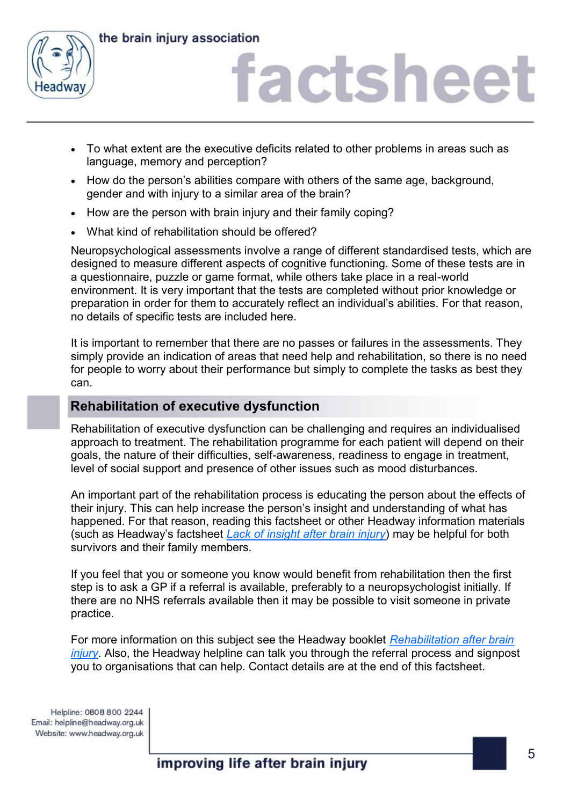

## factsheet

- To what extent are the executive deficits related to other problems in areas such as language, memory and perception?
- How do the person's abilities compare with others of the same age, background, gender and with injury to a similar area of the brain?
- How are the person with brain injury and their family coping?
- What kind of rehabilitation should be offered?

Neuropsychological assessments involve a range of different standardised tests, which are designed to measure different aspects of cognitive functioning. Some of these tests are in a questionnaire, puzzle or game format, while others take place in a real-world environment. It is very important that the tests are completed without prior knowledge or preparation in order for them to accurately reflect an individual's abilities. For that reason, no details of specific tests are included here.

It is important to remember that there are no passes or failures in the assessments. They simply provide an indication of areas that need help and rehabilitation, so there is no need for people to worry about their performance but simply to complete the tasks as best they can.

### **Rehabilitation of executive dysfunction**

Rehabilitation of executive dysfunction can be challenging and requires an individualised approach to treatment. The rehabilitation programme for each patient will depend on their goals, the nature of their difficulties, self-awareness, readiness to engage in treatment, level of social support and presence of other issues such as mood disturbances.

An important part of the rehabilitation process is educating the person about the effects of their injury. This can help increase the person's insight and understanding of what has happened. For that reason, reading this factsheet or other Headway information materials (such as Headway's factsheet *[Lack of insight after brain injury](https://www.headway.org.uk/media/4091/lack-of-insight-after-brain-injury-factsheet.pdf)*) may be helpful for both survivors and their family members.

If you feel that you or someone you know would benefit from rehabilitation then the first step is to ask a GP if a referral is available, preferably to a neuropsychologist initially. If there are no NHS referrals available then it may be possible to visit someone in private practice.

For more information on this subject see the Headway booklet *[Rehabilitation after brain](https://www.headway.org.uk/media/4001/rehabilitation-after-brain-injury-e-booklet.pdf)  [injury](https://www.headway.org.uk/media/4001/rehabilitation-after-brain-injury-e-booklet.pdf)*. Also, the Headway helpline can talk you through the referral process and signpost you to organisations that can help. Contact details are at the end of this factsheet.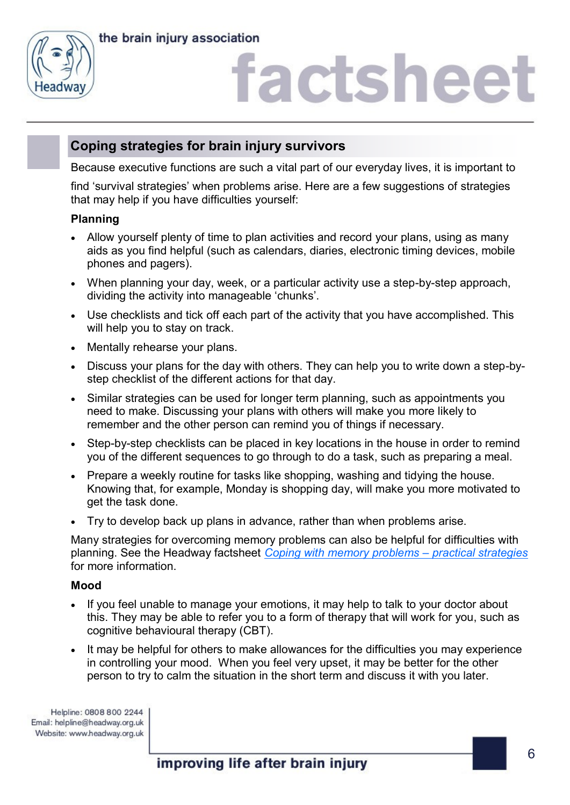

# factsheet

### **Coping strategies for brain injury survivors**

Because executive functions are such a vital part of our everyday lives, it is important to

find 'survival strategies' when problems arise. Here are a few suggestions of strategies that may help if you have difficulties yourself:

### **Planning**

- Allow yourself plenty of time to plan activities and record your plans, using as many aids as you find helpful (such as calendars, diaries, electronic timing devices, mobile phones and pagers).
- When planning your day, week, or a particular activity use a step-by-step approach, dividing the activity into manageable 'chunks'.
- Use checklists and tick off each part of the activity that you have accomplished. This will help you to stay on track.
- Mentally rehearse your plans.
- Discuss your plans for the day with others. They can help you to write down a step-bystep checklist of the different actions for that day.
- Similar strategies can be used for longer term planning, such as appointments you need to make. Discussing your plans with others will make you more likely to remember and the other person can remind you of things if necessary.
- Step-by-step checklists can be placed in key locations in the house in order to remind you of the different sequences to go through to do a task, such as preparing a meal.
- Prepare a weekly routine for tasks like shopping, washing and tidying the house. Knowing that, for example, Monday is shopping day, will make you more motivated to get the task done.
- Try to develop back up plans in advance, rather than when problems arise.

Many strategies for overcoming memory problems can also be helpful for difficulties with planning. See the Headway factsheet *[Coping with memory problems](https://www.headway.org.uk/media/2797/coping-with-memory-problems-practical-strategies-factsheet.pdf) – practical strategies* for more information.

### **Mood**

- If you feel unable to manage your emotions, it may help to talk to your doctor about this. They may be able to refer you to a form of therapy that will work for you, such as cognitive behavioural therapy (CBT).
- It may be helpful for others to make allowances for the difficulties you may experience in controlling your mood. When you feel very upset, it may be better for the other person to try to calm the situation in the short term and discuss it with you later.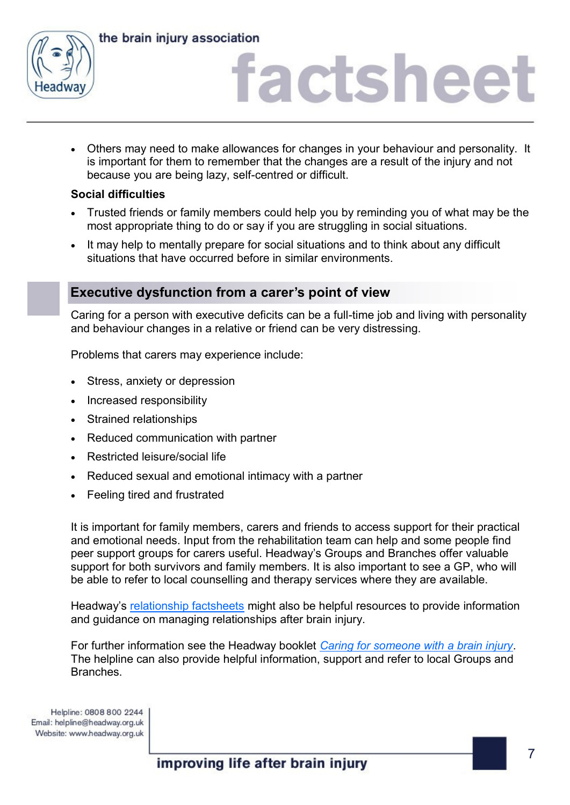

### factsheet

 Others may need to make allowances for changes in your behaviour and personality. It is important for them to remember that the changes are a result of the injury and not because you are being lazy, self-centred or difficult.

### **Social difficulties**

- Trusted friends or family members could help you by reminding you of what may be the most appropriate thing to do or say if you are struggling in social situations.
- It may help to mentally prepare for social situations and to think about any difficult situations that have occurred before in similar environments.

### **Executive dysfunction from a carer's point of view**

Caring for a person with executive deficits can be a full-time job and living with personality and behaviour changes in a relative or friend can be very distressing.

Problems that carers may experience include:

- Stress, anxiety or depression
- Increased responsibility
- Strained relationships
- Reduced communication with partner
- Restricted leisure/social life
- Reduced sexual and emotional intimacy with a partner
- Feeling tired and frustrated

It is important for family members, carers and friends to access support for their practical and emotional needs. Input from the rehabilitation team can help and some people find peer support groups for carers useful. Headway's Groups and Branches offer valuable support for both survivors and family members. It is also important to see a GP, who will be able to refer to local counselling and therapy services where they are available.

Headway's [relationship factsheets](https://www.headway.org.uk/about-brain-injury/individuals/information-library/) might also be helpful resources to provide information and guidance on managing relationships after brain injury.

For further information see the Headway booklet *[Caring for someone with a brain injury](https://www.headway.org.uk/media/3989/caring-for-someone-after-a-brain-injury-e-booklet.pdf)*. The helpline can also provide helpful information, support and refer to local Groups and Branches.